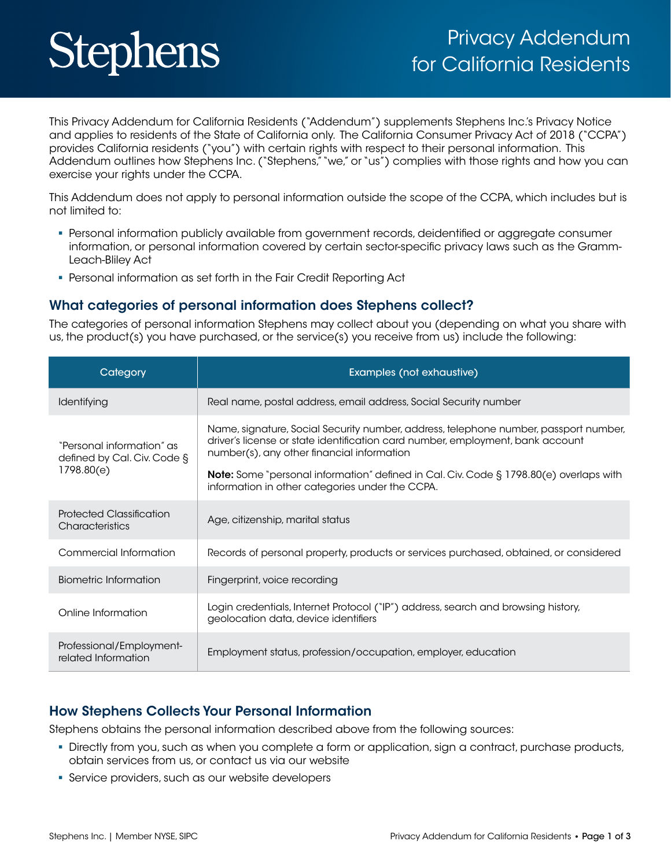# **Stephens**

This Privacy Addendum for California Residents ("Addendum") supplements Stephens Inc.'s Privacy Notice and applies to residents of the State of California only. The California Consumer Privacy Act of 2018 ("CCPA") provides California residents ("you") with certain rights with respect to their personal information. This Addendum outlines how Stephens Inc. ("Stephens," "we," or "us") complies with those rights and how you can exercise your rights under the CCPA.

This Addendum does not apply to personal information outside the scope of the CCPA, which includes but is not limited to:

- Personal information publicly available from government records, deidentified or aggregate consumer information, or personal information covered by certain sector-specific privacy laws such as the Gramm-Leach-Bliley Act
- Personal information as set forth in the Fair Credit Reporting Act

#### What categories of personal information does Stephens collect?

The categories of personal information Stephens may collect about you (depending on what you share with us, the product(s) you have purchased, or the service(s) you receive from us) include the following:

| Category                                                               | Examples (not exhaustive)                                                                                                                                                                                            |
|------------------------------------------------------------------------|----------------------------------------------------------------------------------------------------------------------------------------------------------------------------------------------------------------------|
| Identifying                                                            | Real name, postal address, email address, Social Security number                                                                                                                                                     |
| "Personal information" as<br>defined by Cal. Civ. Code §<br>1798.80(e) | Name, signature, Social Security number, address, telephone number, passport number,<br>driver's license or state identification card number, employment, bank account<br>number(s), any other financial information |
|                                                                        | <b>Note:</b> Some "personal information" defined in Cal. Civ. Code § 1798.80(e) overlaps with<br>information in other categories under the CCPA.                                                                     |
| Protected Classification<br><b>Characteristics</b>                     | Age, citizenship, marital status                                                                                                                                                                                     |
| Commercial Information                                                 | Records of personal property, products or services purchased, obtained, or considered                                                                                                                                |
| Biometric Information                                                  | Fingerprint, voice recording                                                                                                                                                                                         |
| Online Information                                                     | Login credentials, Internet Protocol ("IP") address, search and browsing history,<br>geolocation data, device identifiers                                                                                            |
| Professional/Employment-<br>related Information                        | Employment status, profession/occupation, employer, education                                                                                                                                                        |

### How Stephens Collects Your Personal Information

Stephens obtains the personal information described above from the following sources:

- Directly from you, such as when you complete a form or application, sign a contract, purchase products, obtain services from us, or contact us via our website
- Service providers, such as our website developers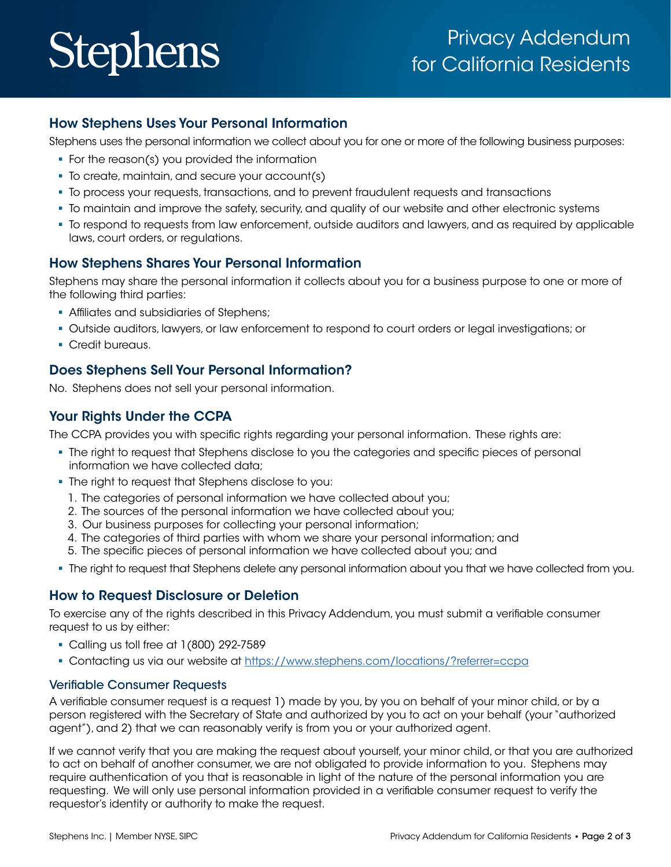# **Stephens**

## How Stephens Uses Your Personal Information

Stephens uses the personal information we collect about you for one or more of the following business purposes:

- For the reason(s) you provided the information
- To create, maintain, and secure your account(s)
- To process your requests, transactions, and to prevent fraudulent requests and transactions
- To maintain and improve the safety, security, and quality of our website and other electronic systems
- To respond to requests from law enforcement, outside auditors and lawyers, and as required by applicable laws, court orders, or regulations.

## How Stephens Shares Your Personal Information

Stephens may share the personal information it collects about you for a business purpose to one or more of the following third parties:

- Affiliates and subsidiaries of Stephens;
- Outside auditors, lawyers, or law enforcement to respond to court orders or legal investigations; or
- **Credit bureaus.**

## Does Stephens Sell Your Personal Information?

No. Stephens does not sell your personal information.

## Your Rights Under the CCPA

The CCPA provides you with specific rights regarding your personal information. These rights are:

- The right to request that Stephens disclose to you the categories and specific pieces of personal information we have collected data;
- The right to request that Stephens disclose to you:
	- 1. The categories of personal information we have collected about you;
	- 2. The sources of the personal information we have collected about you;
	- 3. Our business purposes for collecting your personal information;
	- 4. The categories of third parties with whom we share your personal information; and
	- 5. The specific pieces of personal information we have collected about you; and
- The right to request that Stephens delete any personal information about you that we have collected from you.

### How to Request Disclosure or Deletion

To exercise any of the rights described in this Privacy Addendum, you must submit a verifiable consumer request to us by either:

- Calling us toll free at 1(800) 292-7589
- Contacting us via our website at [https://www.stephens.com/locations/?referrer=ccpa](https://www.stephens.com/locations/?referrer=ccpa )

#### Verifiable Consumer Requests

A verifiable consumer request is a request 1) made by you, by you on behalf of your minor child, or by a person registered with the Secretary of State and authorized by you to act on your behalf (your "authorized agent"), and 2) that we can reasonably verify is from you or your authorized agent.

If we cannot verify that you are making the request about yourself, your minor child, or that you are authorized to act on behalf of another consumer, we are not obligated to provide information to you. Stephens may require authentication of you that is reasonable in light of the nature of the personal information you are requesting. We will only use personal information provided in a verifiable consumer request to verify the requestor's identity or authority to make the request.